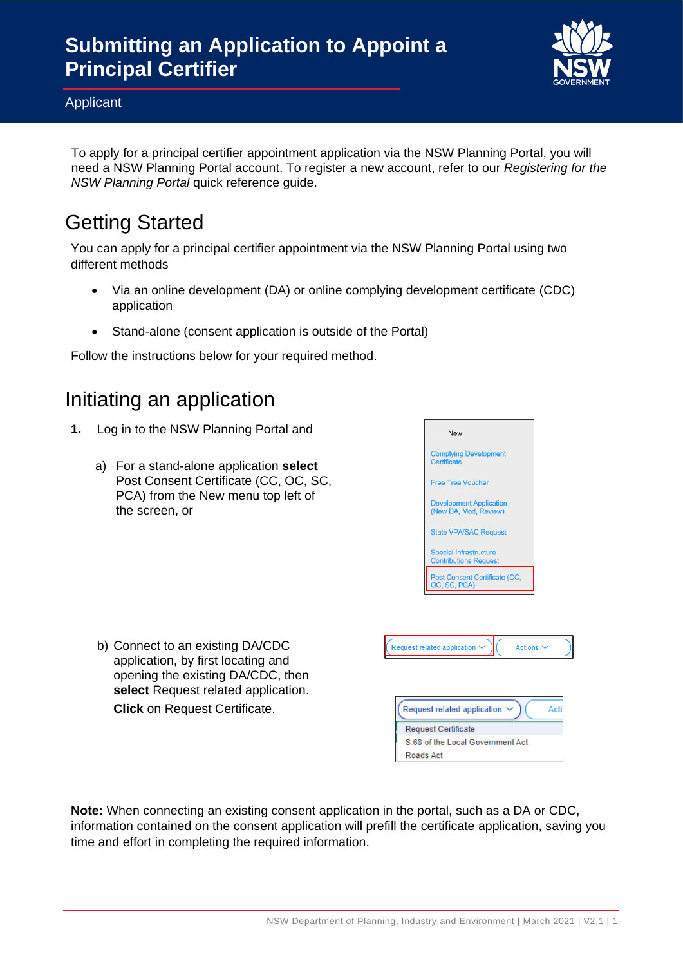

Applicant

To apply for a principal certifier appointment application via the NSW Planning Portal, you will need a NSW Planning Portal account. To register a new account, refer to our *Registering for the NSW Planning Portal* quick reference guide.

# Getting Started

You can apply for a principal certifier appointment via the NSW Planning Portal using two different methods

- Via an online development (DA) or online complying development certificate (CDC) application
- Stand-alone (consent application is outside of the Portal)

Follow the instructions below for your required method.

## Initiating an application

- **1.** Log in to the NSW Planning Portal and
	- a) For a stand-alone application **select** Post Consent Certificate (CC, OC, SC, PCA) from the New menu top left of the screen, or
- Free Tree Voucher ent Application (New DA, Mod, Review) State VPA/SAC Request Special Infrastructure **Contributions Reque** P<mark>ost Consent Certificate (CC,</mark><br>DC, SC, PCA) .<br>Request related application Actions Request related application Ac **Request Certificate** S.68 of the Local Government Act Roads Act

New

**Complying Development** 

b) Connect to an existing DA/CDC application, by first locating and opening the existing DA/CDC, then **select** Request related application. **Click** on Request Certificate.

**Note:** When connecting an existing consent application in the portal, such as a DA or CDC, information contained on the consent application will prefill the certificate application, saving you time and effort in completing the required information.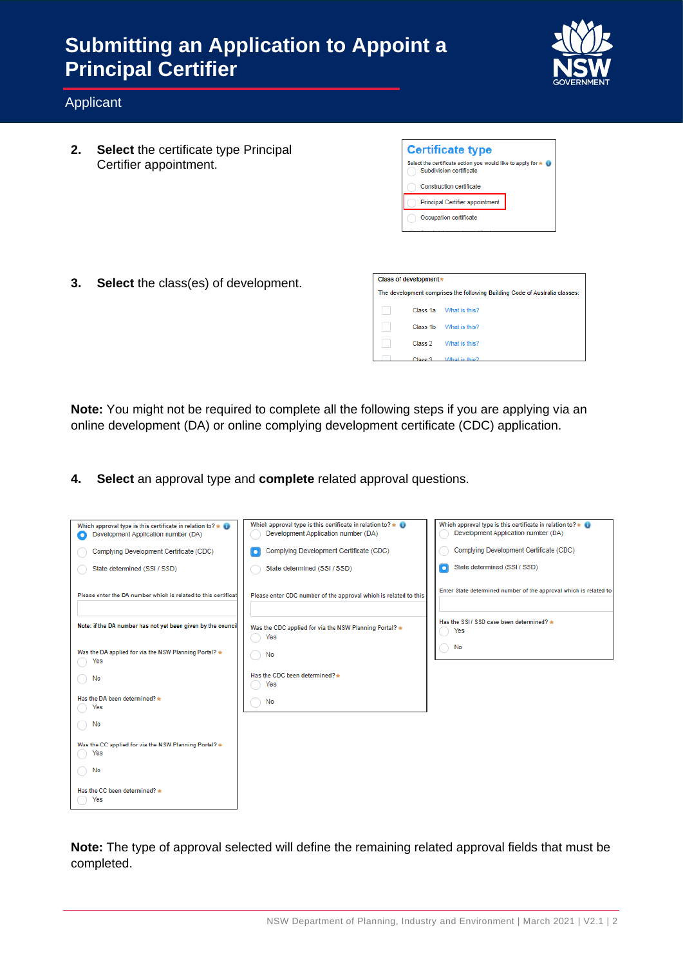

#### Applicant

**2. Select** the certificate type Principal Certifier appointment.

| <b>Certificate type</b>                                                                  |  |
|------------------------------------------------------------------------------------------|--|
| Select the certificate action you would like to apply for * (<br>Subdivision certificate |  |
| Construction certificate                                                                 |  |
| <b>Principal Certifier appointment</b>                                                   |  |
| Occupation certificate                                                                   |  |
|                                                                                          |  |

The development comprises the following Building Code of Australia classes:

Class 1a What is this? Class 1b What is this? Class 2 What is this?

Class of development  $*$ 

**3. Select** the class(es) of development.

**Note:** You might not be required to complete all the following steps if you are applying via an online development (DA) or online complying development certificate (CDC) application.

**4. Select** an approval type and **complete** related approval questions.

| Which approval type is this certificate in relation to? $\star$<br>Development Application number (DA)<br>О | Which approval type is this certificate in relation to? $\star$ 0<br>Development Application number (DA) | Which approval type is this certificate in relation to? $\star$ $\bullet$<br>Development Application number (DA) |
|-------------------------------------------------------------------------------------------------------------|----------------------------------------------------------------------------------------------------------|------------------------------------------------------------------------------------------------------------------|
| Complying Development Certificate (CDC)                                                                     | Complying Development Certificate (CDC)                                                                  | Complying Development Certificate (CDC)                                                                          |
| State determined (SSI / SSD)                                                                                | State determined (SSI / SSD)                                                                             | State determined (SSI / SSD)<br>о                                                                                |
| Please enter the DA number which is related to this certificat                                              | Please enter CDC number of the approval which is related to this                                         | Enter State determined number of the approval which is related to                                                |
| Note: if the DA number has not yet been given by the council                                                | Was the CDC applied for via the NSW Planning Portal? *<br>Yes                                            | Has the SSI / SSD case been determined? *<br>Yes                                                                 |
| Was the DA applied for via the NSW Planning Portal? *<br>Yes                                                | No                                                                                                       | No                                                                                                               |
| No                                                                                                          | Has the CDC been determined? *<br>Yes                                                                    |                                                                                                                  |
| Has the DA been determined? *<br>Yes                                                                        | No                                                                                                       |                                                                                                                  |
| No                                                                                                          |                                                                                                          |                                                                                                                  |
| Was the CC applied for via the NSW Planning Portal? *<br>Yes                                                |                                                                                                          |                                                                                                                  |
| No                                                                                                          |                                                                                                          |                                                                                                                  |
| Has the CC been determined? *<br>Yes                                                                        |                                                                                                          |                                                                                                                  |

**Note:** The type of approval selected will define the remaining related approval fields that must be completed.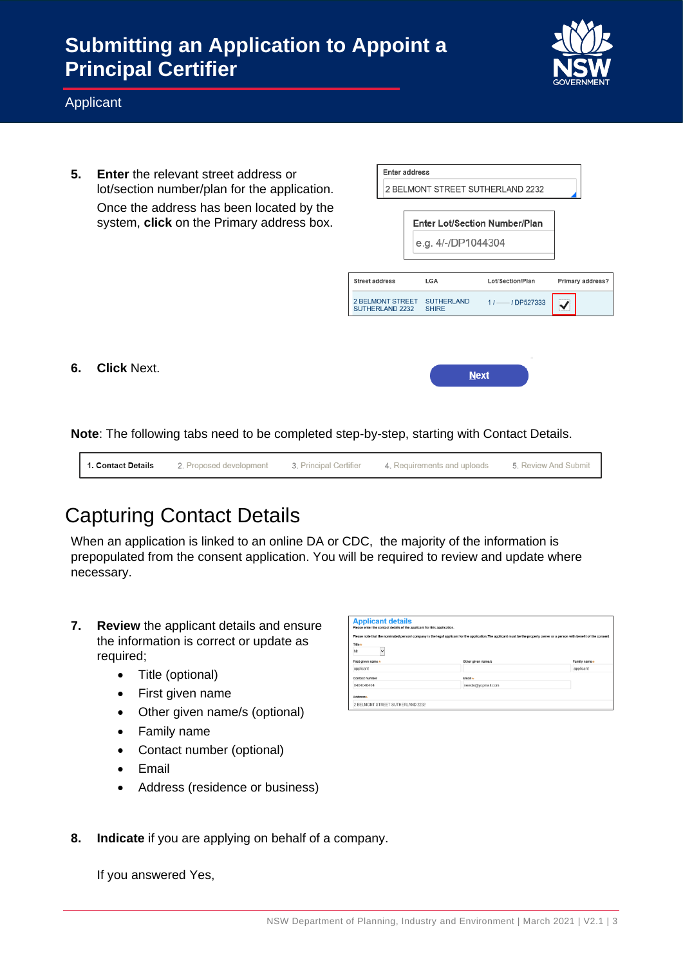

#### Applicant

**5. Enter** the relevant street address or lot/section number/plan for the application. Once the address has been located by the system, **click** on the Primary address box.

|                                  | <b>Enter address</b> |                             |                                      |                  |
|----------------------------------|----------------------|-----------------------------|--------------------------------------|------------------|
| 2 BELMONT STREET SUTHERLAND 2232 |                      |                             |                                      |                  |
|                                  |                      |                             |                                      |                  |
|                                  |                      |                             | <b>Enter Lot/Section Number/Plan</b> |                  |
|                                  |                      | e.g. 4/-/DP1044304          |                                      |                  |
|                                  |                      |                             |                                      |                  |
|                                  |                      |                             |                                      |                  |
| <b>Street address</b>            |                      | LGA                         | Lot/Section/Plan                     |                  |
| SUTHERLAND 2232 SHIRE            |                      | 2 BELMONT STREET SUTHERLAND | $11$ -- $1$ DP527333                 |                  |
|                                  |                      |                             |                                      | Primary address? |
|                                  |                      |                             |                                      |                  |
|                                  |                      |                             |                                      |                  |

**6. Click** Next.

**Note**: The following tabs need to be completed step-by-step, starting with Contact Details.



#### Capturing Contact Details

When an application is linked to an online DA or CDC, the majority of the information is prepopulated from the consent application. You will be required to review and update where necessary.

- **7. Review** the applicant details and ensure the information is correct or update as required;
	- Title (optional)
	- First given name
	- Other given name/s (optional)
	- Family name
	- Contact number (optional)
	- Email
	- Address (residence or business)



**8. Indicate** if you are applying on behalf of a company.

If you answered Yes,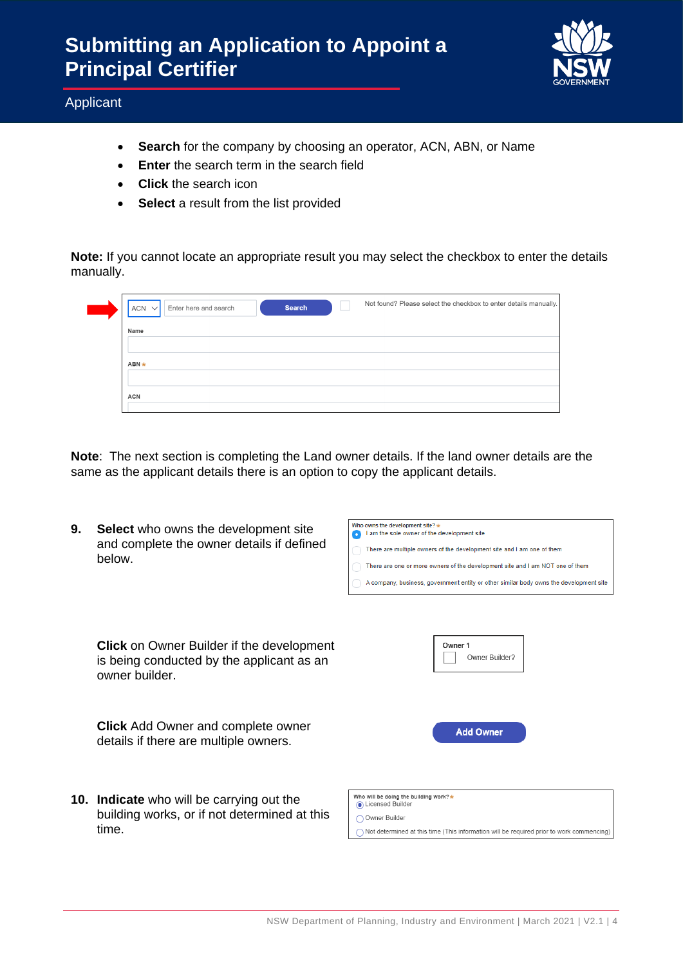

Applicant

- **Search** for the company by choosing an operator, ACN, ABN, or Name
- **Enter** the search term in the search field
- **Click** the search icon
- **Select** a result from the list provided

**Note:** If you cannot locate an appropriate result you may select the checkbox to enter the details manually.

| Not found? Please select the checkbox to enter details manually.<br><b>Search</b><br>Enter here and search<br>$ACN \vee$ |
|--------------------------------------------------------------------------------------------------------------------------|
| Name                                                                                                                     |
| $ABN*$                                                                                                                   |
| <b>ACN</b>                                                                                                               |

**Note**: The next section is completing the Land owner details. If the land owner details are the same as the applicant details there is an option to copy the applicant details.

.<br>Vho owns the development site? **9. Select** who owns the development site I am the sole owner of the development site and complete the owner details if defined There are multiple owners of the development site and I am one of them below. There are one or more owners of the development site and I am NOT one of them A company, business, government entity or other similar body owns the development site **Click** on Owner Builder if the development Owner 1 Owner Builder? is being conducted by the applicant as an owner builder. **Click** Add Owner and complete owner **Add Owner** details if there are multiple owners. **10. Indicate** who will be carrying out the Who will be doing the building work? Consed Builde building works, or if not determined at this Owner Builde time. $\bigcap$  Not determined at this time (This information will be required prior to work commencing)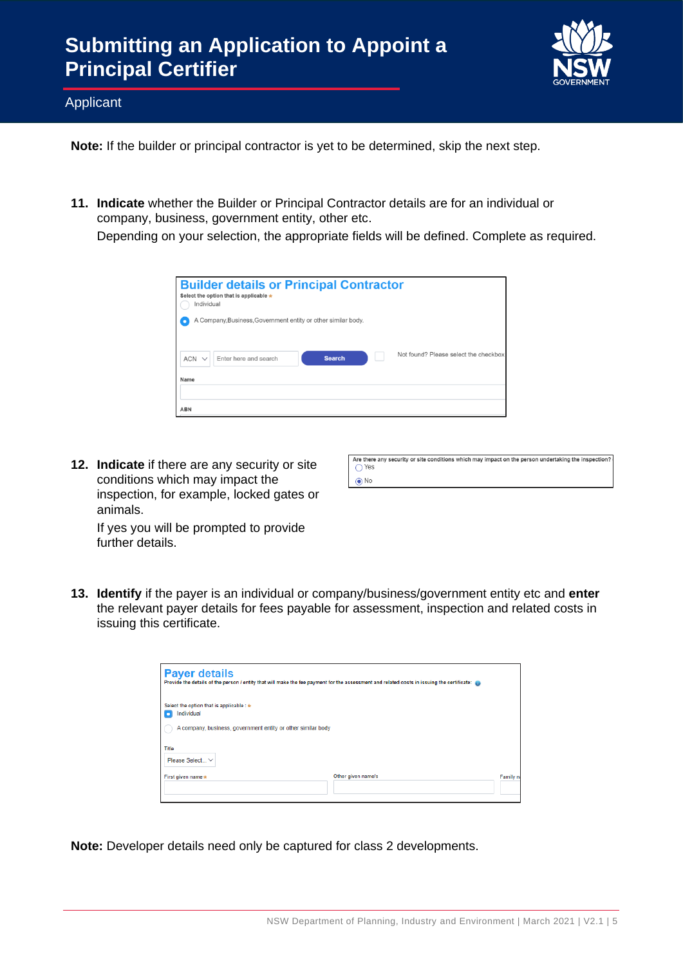

**Applicant** 

**Note:** If the builder or principal contractor is yet to be determined, skip the next step.

**11. Indicate** whether the Builder or Principal Contractor details are for an individual or company, business, government entity, other etc.

Depending on your selection, the appropriate fields will be defined. Complete as required.

| Individual         | <b>Builder details or Principal Contractor</b><br>Select the option that is applicable * |               |                                       |
|--------------------|------------------------------------------------------------------------------------------|---------------|---------------------------------------|
| $ACN \vee$<br>Name | A Company, Business, Government entity or other similar body.<br>Enter here and search   | <b>Search</b> | Not found? Please select the checkbox |
| <b>ABN</b>         |                                                                                          |               |                                       |

**12. Indicate** if there are any security or site conditions which may impact the inspection, for example, locked gates or animals.

| Are there any security or site conditions which may impact on the person undertaking the inspection? |
|------------------------------------------------------------------------------------------------------|
| $\bigcap$ Yes                                                                                        |
|                                                                                                      |
| $\odot$ No                                                                                           |

If yes you will be prompted to provide further details.

**13. Identify** if the payer is an individual or company/business/government entity etc and **enter**  the relevant payer details for fees payable for assessment, inspection and related costs in issuing this certificate.

| <b>Payer details</b><br>Provide the details of the person / entity that will make the fee payment for the assessment and related costs in issuing the certificate: |                    |          |
|--------------------------------------------------------------------------------------------------------------------------------------------------------------------|--------------------|----------|
| Select the option that is applicable : *<br>Individual<br>A company, business, government entity or other similar body                                             |                    |          |
| <b>Title</b><br>Please Select V                                                                                                                                    |                    |          |
| First given name *                                                                                                                                                 | Other given name/s | Family n |
|                                                                                                                                                                    |                    |          |

**Note:** Developer details need only be captured for class 2 developments.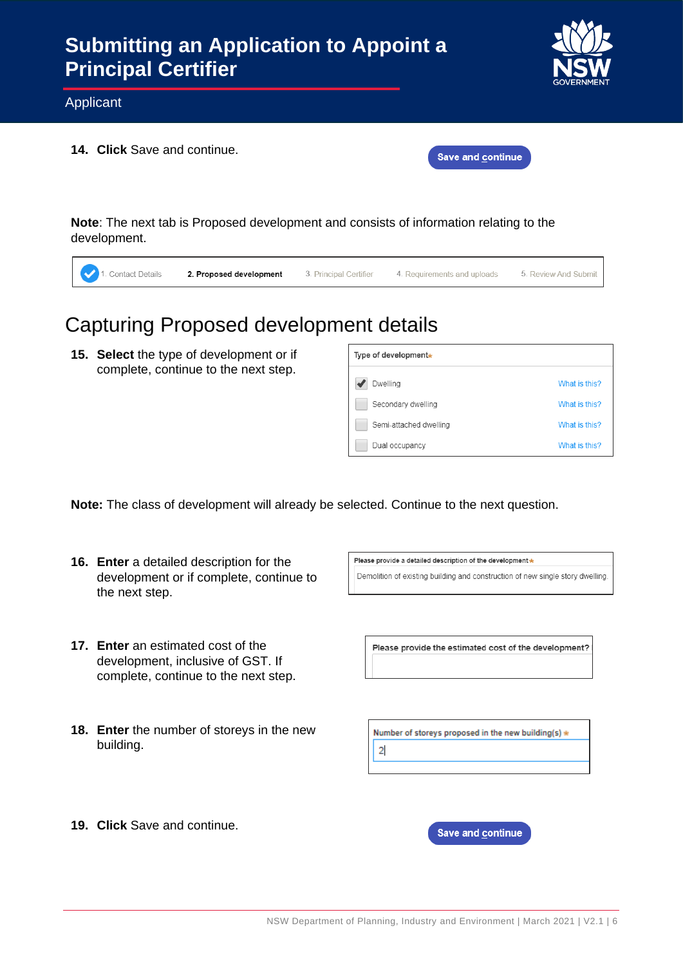

Applicant

**14. Click** Save and continue.

|  | <b>Save and continue</b> |  |
|--|--------------------------|--|
|  |                          |  |

**Note**: The next tab is Proposed development and consists of information relating to the development.

| 1. Contact Details<br>5. Review And Submit<br>4. Requirements and uploads<br>3. Principal Certifier<br>2. Proposed development |
|--------------------------------------------------------------------------------------------------------------------------------|
|--------------------------------------------------------------------------------------------------------------------------------|

## Capturing Proposed development details

**15. Select** the type of development or if complete, continue to the next step.

| Type of development <sub>*</sub> |               |
|----------------------------------|---------------|
| Dwelling                         | What is this? |
| Secondary dwelling               | What is this? |
| Semi-attached dwelling           | What is this? |
| Dual occupancy                   | What is this? |

**Note:** The class of development will already be selected. Continue to the next question.

- **16. Enter** a detailed description for the development or if complete, continue to the next step.
- **17. Enter** an estimated cost of the development, inclusive of GST. If complete, continue to the next step.
- **18. Enter** the number of storeys in the new building.

Please provide a detailed description of the development \* Demolition of existing building and construction of new single story dwelling.

Please provide the estimated cost of the development?

Number of storeys proposed in the new building(s)  $\star$  $\overline{2}$ 

**19. Click** Save and continue.

Save and continue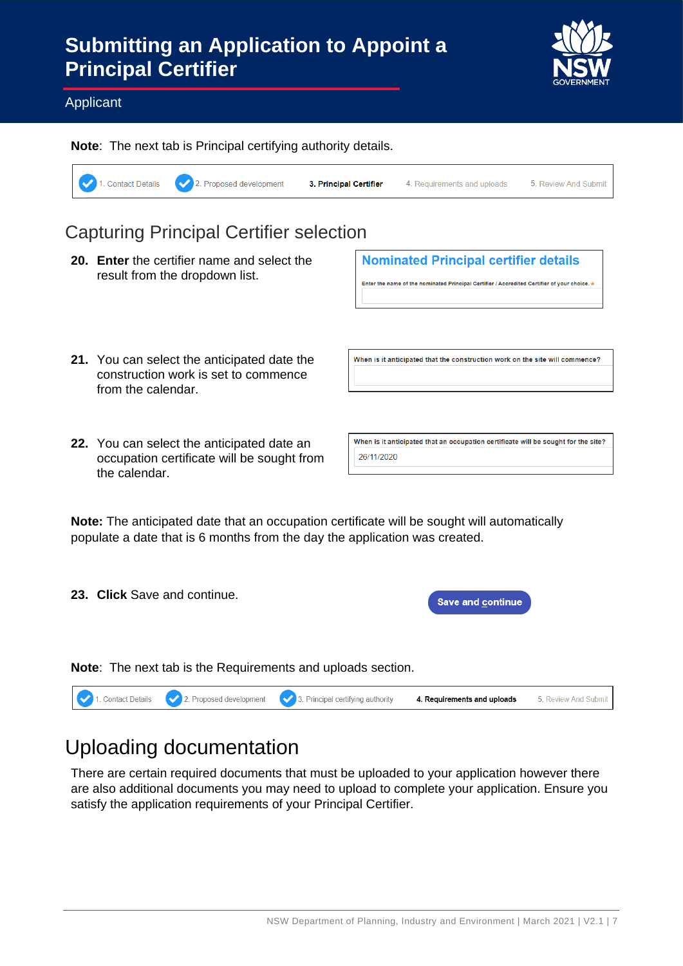

#### Applicant

**Note**: The next tab is Principal certifying authority details. 1. Contact Details 2. Proposed development 3. Principal Certifier 4. Requirements and uploads 5. Review And Submit

#### Capturing Principal Certifier selection

**20. Enter** the certifier name and select the result from the dropdown list.

**Nominated Principal certifier details** 

Enter the name of the nominated Principal Certifier / Accredited Certifier of your choice.

When is it anticipated that the construction work on the site will commence?

- **21.** You can select the anticipated date the construction work is set to commence from the calendar.
- **22.** You can select the anticipated date an occupation certificate will be sought from the calendar.

When is it anticipated that an occupation certificate will be sought for the site? 26/11/2020

**Note:** The anticipated date that an occupation certificate will be sought will automatically populate a date that is 6 months from the day the application was created.

**23. Click** Save and continue.

**Save and continue** 

**Note**: The next tab is the Requirements and uploads section.



# Uploading documentation

There are certain required documents that must be uploaded to your application however there are also additional documents you may need to upload to complete your application. Ensure you satisfy the application requirements of your Principal Certifier.